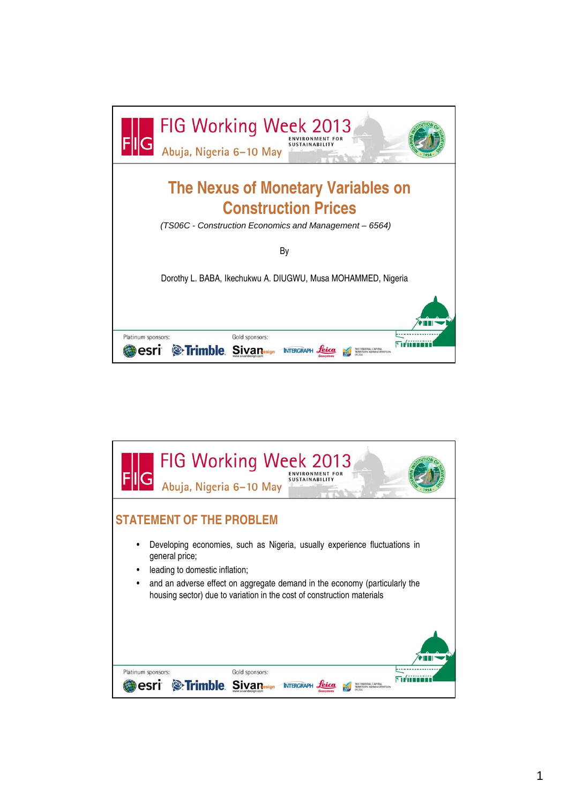

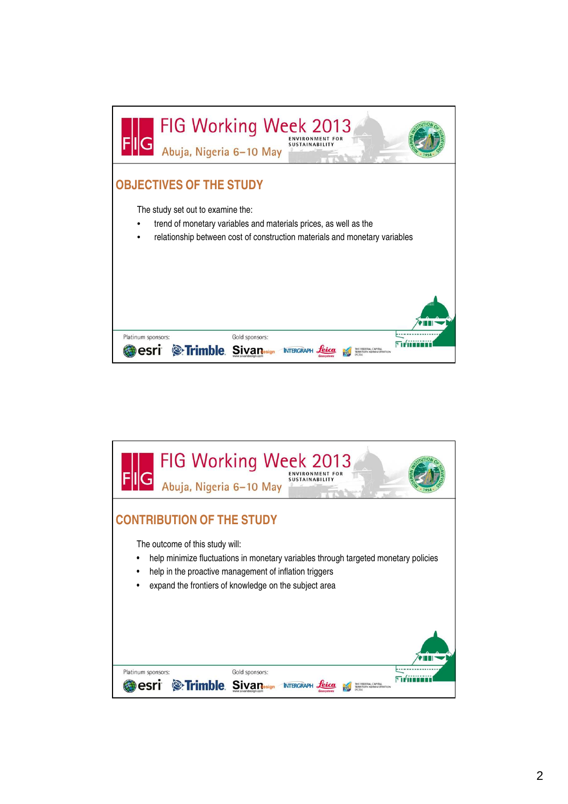

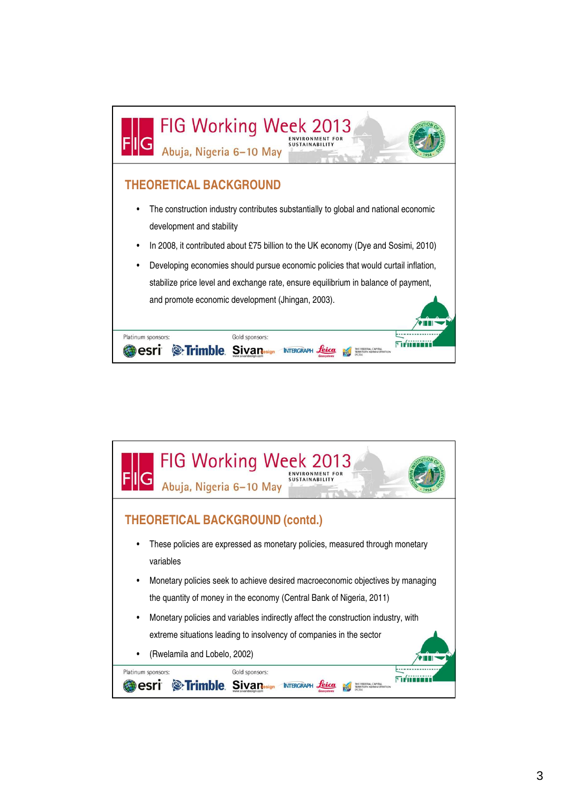

| <b>FIG Working Week 2013</b><br><b>SUSTAINABILIT</b><br>Abuja, Nigeria 6-10 May           |
|-------------------------------------------------------------------------------------------|
| <b>THEORETICAL BACKGROUND (contd.)</b>                                                    |
| These policies are expressed as monetary policies, measured through monetary<br>variables |
| Monetary policies seek to achieve desired macroeconomic objectives by managing<br>٠       |
| the quantity of money in the economy (Central Bank of Nigeria, 2011)                      |
| Monetary policies and variables indirectly affect the construction industry, with<br>٠    |
| extreme situations leading to insolvency of companies in the sector                       |
| (Rwelamila and Lobelo, 2002)<br>٠                                                         |
| Platinum sponsors:<br>Gold sponsors:<br><b>Se Trimble</b><br><b>INTERGRAP</b>             |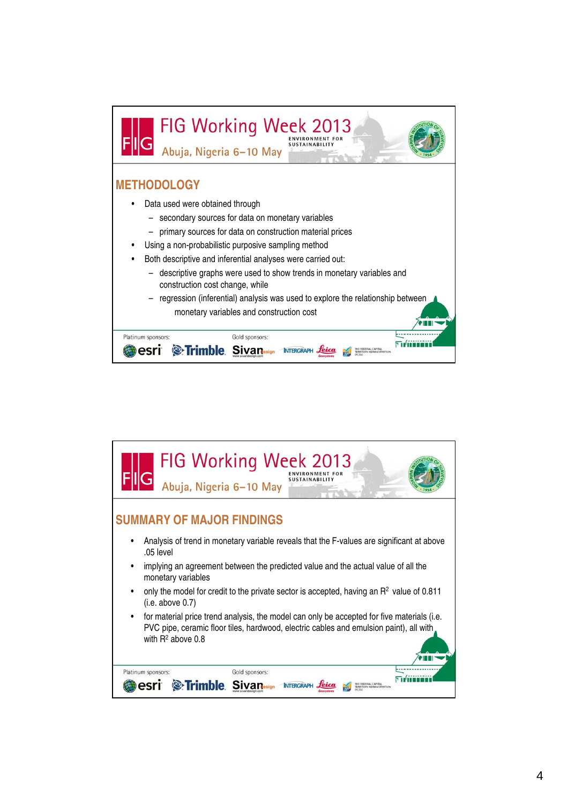

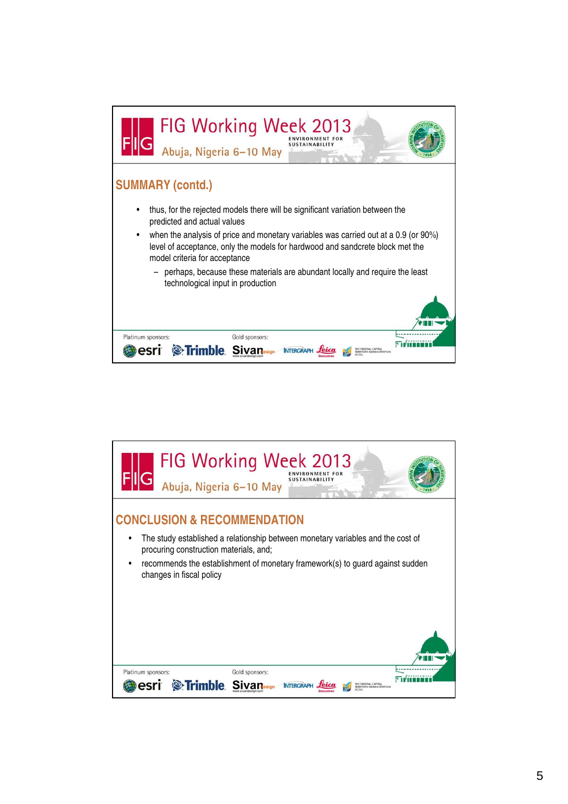